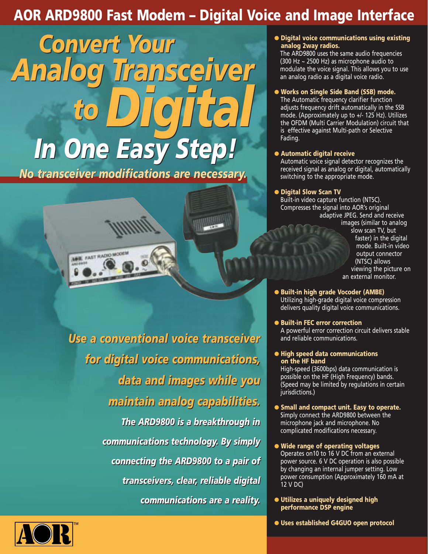## **AOR ARD9800 Fast Modem – Digital Voice and Image Interface**

 $18.1$ 

*In One Easy Step! In One Easy Step! Convert Your Convert Your Analog Transceiver Analog Transceiver to Digital to Digital* 

*No transceiver modifications are necessary. No transceiver modifications are necessary.* 



*Use a conventional voice transceiver Use a conventional voice transceiver for digital voice communications, for digital voice communications, data and images while you data and images while you maintain analog capabilities. maintain analog capabilities. The ARD9800 is a breakthrough in The ARD9800 is a breakthrough in communications technology. By simply communications technology. By simply connecting the ARD9800 to a pair of connecting the ARD9800 to a pair of transceivers, clear, reliable digital transceivers, clear, reliable digital communications are a reality. communications are a reality.* 

● **Digital voice communications using existing analog 2way radios.**

The ARD9800 uses the same audio frequencies (300 Hz ~ 2500 Hz) as microphone audio to modulate the voice signal. This allows you to use an analog radio as a digital voice radio.

### ● **Works on Single Side Band (SSB) mode.**

The Automatic frequency clarifier function adjusts frequency drift automatically in the SSB mode. (Approximately up to +/- 125 Hz). Utilizes the OFDM (Multi Carrier Modulation) circuit that is effective against Multi-path or Selective Fading.

#### ● **Automatic digital receive**

Automatic voice signal detector recognizes the received signal as analog or digital, automatically switching to the appropriate mode.

### ● **Digital Slow Scan TV**

Built-in video capture function (NTSC). Compresses the signal into AOR's original adaptive JPEG. Send and receive images (similar to analog slow scan TV, but faster) in the digital mode. Built-in video output connector (NTSC) allows viewing the picture on an external monitor.

- **Built-in high grade Vocoder (AMBE)** Utilizing high-grade digital voice compression delivers quality digital voice communications.
- **Built-in FEC error correction** A powerful error correction circuit delivers stable and reliable communications.
- **High speed data communications on the HF band**

High-speed (3600bps) data communication is possible on the HF (High Frequency) bands. (Speed may be limited by regulations in certain jurisdictions.)

● **Small and compact unit. Easy to operate.** Simply connect the ARD9800 between the microphone jack and microphone. No complicated modifications necessary.

● **Wide range of operating voltages** Operates on10 to 16 V DC from an external power source. 6 V DC operation is also possible by changing an internal jumper setting. Low power consumption (Approximately 160 mA at 12 V DC)

● **Utilizes a uniquely designed high performance DSP engine**